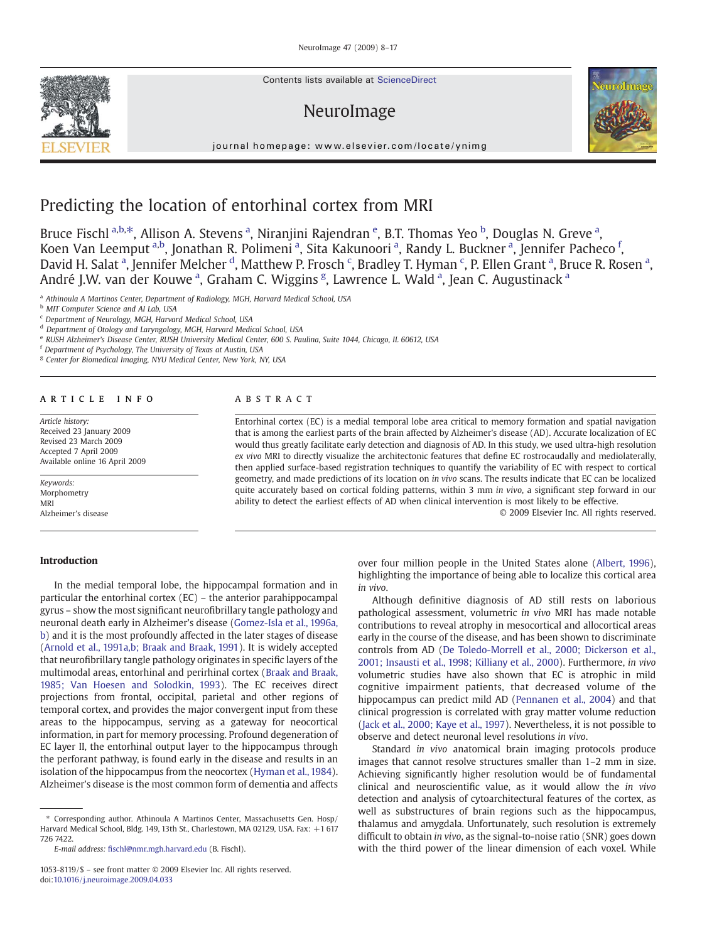Contents lists available at ScienceDirect

# NeuroImage



journal homepage: www.elsevier.com/locate/ynimg

# Predicting the location of entorhinal cortex from MRI

Bruce Fischl <sup>a,b,\*</sup>, Allison A. Stevens <sup>a</sup>, Niranjini Rajendran <sup>e</sup>, B.T. Thomas Yeo <sup>b</sup>, Douglas N. Greve <sup>a</sup>, Koen Van Leemput <sup>a,b</sup>, Jonathan R. Polimeni <sup>a</sup>, Sita Kakunoori <sup>a</sup>, Randy L. Buckner <sup>a</sup>, Jennifer Pacheco <sup>f</sup>, David H. Salat <sup>a</sup>, Jennifer Melcher <sup>d</sup>, Matthew P. Frosch <sup>c</sup>, Bradley T. Hyman <sup>c</sup>, P. Ellen Grant <sup>a</sup>, Bruce R. Rosen <sup>a</sup>, André J.W. van der Kouwe<sup>a</sup>, Graham C. Wiggins<sup>g</sup>, Lawrence L. Wald<sup>a</sup>, Jean C. Augustinack<sup>a</sup>

<sup>a</sup> Athinoula A Martinos Center, Department of Radiology, MGH, Harvard Medical School, USA

**b** MIT Computer Science and AI Lab, USA

<sup>d</sup> Department of Otology and Laryngology, MGH, Harvard Medical School, USA

<sup>e</sup> RUSH Alzheimer's Disease Center, RUSH University Medical Center, 600 S. Paulina, Suite 1044, Chicago, IL 60612, USA

<sup>f</sup> Department of Psychology, The University of Texas at Austin, USA

<sup>g</sup> Center for Biomedical Imaging, NYU Medical Center, New York, NY, USA

# article info abstract

Article history: Received 23 January 2009 Revised 23 March 2009 Accepted 7 April 2009 Available online 16 April 2009

Keywords: Morphometry MRI Alzheimer's disease

Introduction

Entorhinal cortex (EC) is a medial temporal lobe area critical to memory formation and spatial navigation that is among the earliest parts of the brain affected by Alzheimer's disease (AD). Accurate localization of EC would thus greatly facilitate early detection and diagnosis of AD. In this study, we used ultra-high resolution ex vivo MRI to directly visualize the architectonic features that define EC rostrocaudally and mediolaterally, then applied surface-based registration techniques to quantify the variability of EC with respect to cortical geometry, and made predictions of its location on in vivo scans. The results indicate that EC can be localized quite accurately based on cortical folding patterns, within 3 mm in vivo, a significant step forward in our ability to detect the earliest effects of AD when clinical intervention is most likely to be effective.

© 2009 Elsevier Inc. All rights reserved.

In the medial temporal lobe, the hippocampal formation and in particular the entorhinal cortex (EC) – the anterior parahippocampal gyrus – show the most significant neurofibrillary tangle pathology and neuronal death early in Alzheimer's disease [\(Gomez-Isla et al., 1996a,](#page-8-0) [b](#page-8-0)) and it is the most profoundly affected in the later stages of disease [\(Arnold et al., 1991a,b; Braak and Braak, 1991](#page-7-0)). It is widely accepted that neurofibrillary tangle pathology originates in specific layers of the multimodal areas, entorhinal and perirhinal cortex ([Braak and Braak,](#page-7-0) [1985; Van Hoesen and Solodkin, 1993\)](#page-7-0). The EC receives direct projections from frontal, occipital, parietal and other regions of temporal cortex, and provides the major convergent input from these areas to the hippocampus, serving as a gateway for neocortical information, in part for memory processing. Profound degeneration of EC layer II, the entorhinal output layer to the hippocampus through the perforant pathway, is found early in the disease and results in an isolation of the hippocampus from the neocortex ([Hyman et al., 1984](#page-8-0)). Alzheimer's disease is the most common form of dementia and affects

E-mail address: fi[schl@nmr.mgh.harvard.edu](mailto:fischl@nmr.mgh.harvard.edu) (B. Fischl).

over four million people in the United States alone ([Albert, 1996](#page-7-0)), highlighting the importance of being able to localize this cortical area in vivo.

Although definitive diagnosis of AD still rests on laborious pathological assessment, volumetric in vivo MRI has made notable contributions to reveal atrophy in mesocortical and allocortical areas early in the course of the disease, and has been shown to discriminate controls from AD [\(De Toledo-Morrell et al., 2000; Dickerson et al.,](#page-8-0) [2001; Insausti et al., 1998; Killiany et al., 2000\)](#page-8-0). Furthermore, in vivo volumetric studies have also shown that EC is atrophic in mild cognitive impairment patients, that decreased volume of the hippocampus can predict mild AD ([Pennanen et al., 2004](#page-8-0)) and that clinical progression is correlated with gray matter volume reduction [\(Jack et al., 2000; Kaye et al., 1997\)](#page-8-0). Nevertheless, it is not possible to observe and detect neuronal level resolutions in vivo.

Standard in vivo anatomical brain imaging protocols produce images that cannot resolve structures smaller than 1–2 mm in size. Achieving significantly higher resolution would be of fundamental clinical and neuroscientific value, as it would allow the in vivo detection and analysis of cytoarchitectural features of the cortex, as well as substructures of brain regions such as the hippocampus, thalamus and amygdala. Unfortunately, such resolution is extremely difficult to obtain in vivo, as the signal-to-noise ratio (SNR) goes down with the third power of the linear dimension of each voxel. While



<sup>c</sup> Department of Neurology, MGH, Harvard Medical School, USA

<sup>⁎</sup> Corresponding author. Athinoula A Martinos Center, Massachusetts Gen. Hosp/ Harvard Medical School, Bldg. 149, 13th St., Charlestown, MA 02129, USA. Fax: +1 617 726 7422.

<sup>1053-8119/\$</sup> – see front matter © 2009 Elsevier Inc. All rights reserved. doi[:10.1016/j.neuroimage.2009.04.033](http://dx.doi.org/10.1016/j.neuroimage.2009.04.033)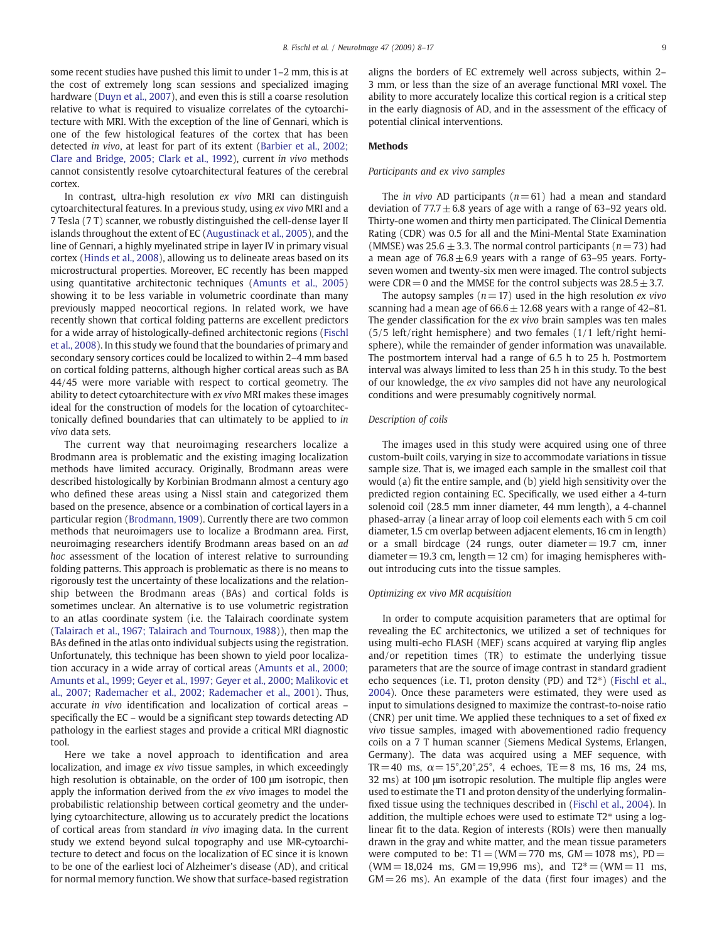some recent studies have pushed this limit to under 1–2 mm, this is at the cost of extremely long scan sessions and specialized imaging hardware ([Duyn et al., 2007](#page-8-0)), and even this is still a coarse resolution relative to what is required to visualize correlates of the cytoarchitecture with MRI. With the exception of the line of Gennari, which is one of the few histological features of the cortex that has been detected in vivo, at least for part of its extent ([Barbier et al., 2002;](#page-7-0) [Clare and Bridge, 2005; Clark et al., 1992\)](#page-7-0), current in vivo methods cannot consistently resolve cytoarchitectural features of the cerebral cortex.

In contrast, ultra-high resolution ex vivo MRI can distinguish cytoarchitectural features. In a previous study, using ex vivo MRI and a 7 Tesla (7 T) scanner, we robustly distinguished the cell-dense layer II islands throughout the extent of EC [\(Augustinack et al., 2005](#page-7-0)), and the line of Gennari, a highly myelinated stripe in layer IV in primary visual cortex ([Hinds et al., 2008\)](#page-8-0), allowing us to delineate areas based on its microstructural properties. Moreover, EC recently has been mapped using quantitative architectonic techniques [\(Amunts et al., 2005](#page-7-0)) showing it to be less variable in volumetric coordinate than many previously mapped neocortical regions. In related work, we have recently shown that cortical folding patterns are excellent predictors for a wide array of histologically-defined architectonic regions ([Fischl](#page-8-0) [et al., 2008](#page-8-0)). In this study we found that the boundaries of primary and secondary sensory cortices could be localized to within 2–4 mm based on cortical folding patterns, although higher cortical areas such as BA 44/45 were more variable with respect to cortical geometry. The ability to detect cytoarchitecture with ex vivo MRI makes these images ideal for the construction of models for the location of cytoarchitectonically defined boundaries that can ultimately to be applied to in vivo data sets.

The current way that neuroimaging researchers localize a Brodmann area is problematic and the existing imaging localization methods have limited accuracy. Originally, Brodmann areas were described histologically by Korbinian Brodmann almost a century ago who defined these areas using a Nissl stain and categorized them based on the presence, absence or a combination of cortical layers in a particular region ([Brodmann, 1909](#page-7-0)). Currently there are two common methods that neuroimagers use to localize a Brodmann area. First, neuroimaging researchers identify Brodmann areas based on an ad hoc assessment of the location of interest relative to surrounding folding patterns. This approach is problematic as there is no means to rigorously test the uncertainty of these localizations and the relationship between the Brodmann areas (BAs) and cortical folds is sometimes unclear. An alternative is to use volumetric registration to an atlas coordinate system (i.e. the Talairach coordinate system [\(Talairach et al., 1967; Talairach and Tournoux, 1988\)](#page-9-0)), then map the BAs defined in the atlas onto individual subjects using the registration. Unfortunately, this technique has been shown to yield poor localization accuracy in a wide array of cortical areas [\(Amunts et al., 2000;](#page-7-0) [Amunts et al., 1999; Geyer et al., 1997; Geyer et al., 2000; Malikovic et](#page-7-0) [al., 2007; Rademacher et al., 2002; Rademacher et al., 2001\)](#page-7-0). Thus, accurate in vivo identification and localization of cortical areas – specifically the EC – would be a significant step towards detecting AD pathology in the earliest stages and provide a critical MRI diagnostic tool.

Here we take a novel approach to identification and area localization, and image ex vivo tissue samples, in which exceedingly high resolution is obtainable, on the order of 100 μm isotropic, then apply the information derived from the ex vivo images to model the probabilistic relationship between cortical geometry and the underlying cytoarchitecture, allowing us to accurately predict the locations of cortical areas from standard in vivo imaging data. In the current study we extend beyond sulcal topography and use MR-cytoarchitecture to detect and focus on the localization of EC since it is known to be one of the earliest loci of Alzheimer's disease (AD), and critical for normal memory function. We show that surface-based registration aligns the borders of EC extremely well across subjects, within 2– 3 mm, or less than the size of an average functional MRI voxel. The ability to more accurately localize this cortical region is a critical step in the early diagnosis of AD, and in the assessment of the efficacy of potential clinical interventions.

## Methods

## Participants and ex vivo samples

The *in vivo* AD participants ( $n= 61$ ) had a mean and standard deviation of  $77.7 \pm 6.8$  years of age with a range of 63–92 years old. Thirty-one women and thirty men participated. The Clinical Dementia Rating (CDR) was 0.5 for all and the Mini-Mental State Examination (MMSE) was  $25.6 \pm 3.3$ . The normal control participants ( $n=73$ ) had a mean age of  $76.8 \pm 6.9$  years with a range of 63–95 years. Fortyseven women and twenty-six men were imaged. The control subjects were CDR = 0 and the MMSE for the control subjects was  $28.5 \pm 3.7$ .

The autopsy samples ( $n= 17$ ) used in the high resolution ex vivo scanning had a mean age of  $66.6 \pm 12.68$  years with a range of 42–81. The gender classification for the ex vivo brain samples was ten males (5/5 left/right hemisphere) and two females (1/1 left/right hemisphere), while the remainder of gender information was unavailable. The postmortem interval had a range of 6.5 h to 25 h. Postmortem interval was always limited to less than 25 h in this study. To the best of our knowledge, the ex vivo samples did not have any neurological conditions and were presumably cognitively normal.

### Description of coils

The images used in this study were acquired using one of three custom-built coils, varying in size to accommodate variations in tissue sample size. That is, we imaged each sample in the smallest coil that would (a) fit the entire sample, and (b) yield high sensitivity over the predicted region containing EC. Specifically, we used either a 4-turn solenoid coil (28.5 mm inner diameter, 44 mm length), a 4-channel phased-array (a linear array of loop coil elements each with 5 cm coil diameter, 1.5 cm overlap between adjacent elements, 16 cm in length) or a small birdcage  $(24 \text{ rungs}, \text{outer diameter} = 19.7 \text{ cm}, \text{inner}$ diameter = 19.3 cm, length = 12 cm) for imaging hemispheres without introducing cuts into the tissue samples.

### Optimizing ex vivo MR acquisition

In order to compute acquisition parameters that are optimal for revealing the EC architectonics, we utilized a set of techniques for using multi-echo FLASH (MEF) scans acquired at varying flip angles and/or repetition times (TR) to estimate the underlying tissue parameters that are the source of image contrast in standard gradient echo sequences (i.e. T1, proton density (PD) and T2\*) ([Fischl](#page-8-0) et al., [2004](#page-8-0)). Once these parameters were estimated, they were used as input to simulations designed to maximize the contrast-to-noise ratio (CNR) per unit time. We applied these techniques to a set of fixed ex vivo tissue samples, imaged with abovementioned radio frequency coils on a 7 T human scanner (Siemens Medical Systems, Erlangen, Germany). The data was acquired using a MEF sequence, with TR= 40 ms,  $\alpha = 15^{\circ}, 20^{\circ}, 25^{\circ}$ , 4 echoes, TE = 8 ms, 16 ms, 24 ms, 32 ms) at 100 μm isotropic resolution. The multiple flip angles were used to estimate the T1 and proton density of the underlying formalinfixed tissue using the techniques described in [\(Fischl et al., 2004\)](#page-8-0). In addition, the multiple echoes were used to estimate  $T2^*$  using a loglinear fit to the data. Region of interests (ROIs) were then manually drawn in the gray and white matter, and the mean tissue parameters were computed to be:  $T1 = (WM = 770 \text{ ms}, \text{ GM} = 1078 \text{ ms})$ ,  $PD =$  $(WM = 18,024 \text{ ms}, GM = 19,996 \text{ ms}), and T2* = (WM = 11 \text{ ms},$  $GM = 26$  ms). An example of the data (first four images) and the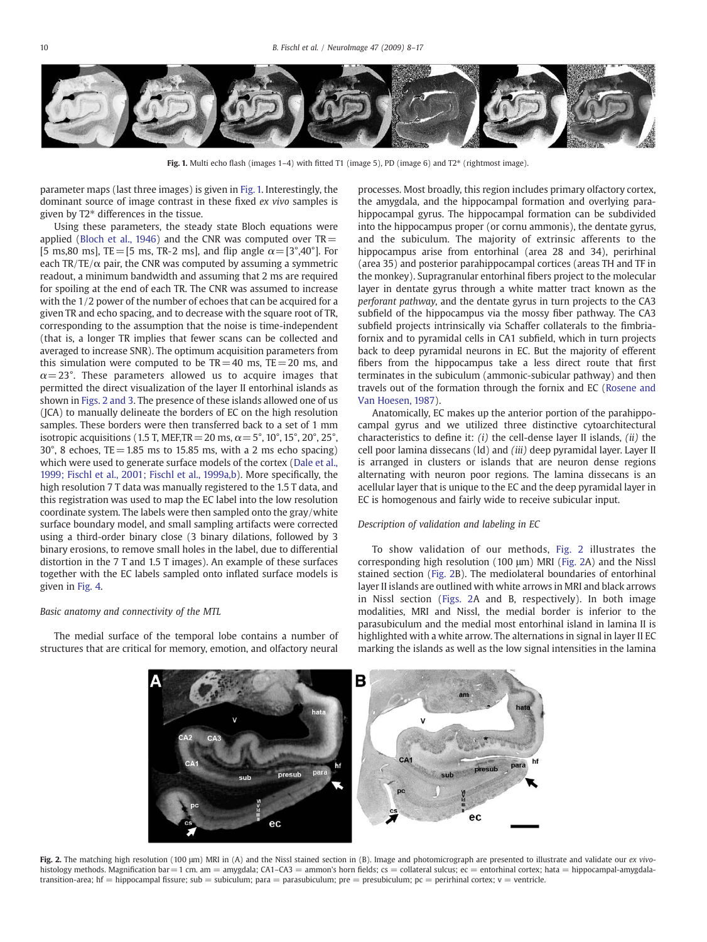<span id="page-2-0"></span>

Fig. 1. Multi echo flash (images  $1-4$ ) with fitted T1 (image 5), PD (image 6) and T2 $*$  (rightmost image).

parameter maps (last three images) is given in Fig. 1. Interestingly, the dominant source of image contrast in these fixed ex vivo samples is given by T2\* differences in the tissue.

Using these parameters, the steady state Bloch equations were applied ([Bloch et al., 1946\)](#page-7-0) and the CNR was computed over  $TR =$ [5 ms,80 ms], TE = [5 ms, TR-2 ms], and flip angle  $\alpha = [3^\circ, 40^\circ]$ . For each  $TR/TE/\alpha$  pair, the CNR was computed by assuming a symmetric readout, a minimum bandwidth and assuming that 2 ms are required for spoiling at the end of each TR. The CNR was assumed to increase with the 1/2 power of the number of echoes that can be acquired for a given TR and echo spacing, and to decrease with the square root of TR, corresponding to the assumption that the noise is time-independent (that is, a longer TR implies that fewer scans can be collected and averaged to increase SNR). The optimum acquisition parameters from this simulation were computed to be  $TR = 40$  ms,  $TE = 20$  ms, and  $\alpha = 23^{\circ}$ . These parameters allowed us to acquire images that permitted the direct visualization of the layer II entorhinal islands as shown in Figs. 2 and 3. The presence of these islands allowed one of us (JCA) to manually delineate the borders of EC on the high resolution samples. These borders were then transferred back to a set of 1 mm isotropic acquisitions (1.5 T, MEF, TR = 20 ms,  $\alpha$  = 5°, 10°, 15°, 20°, 25°,  $30^{\circ}$ , 8 echoes, TE = 1.85 ms to 15.85 ms, with a 2 ms echo spacing) which were used to generate surface models of the cortex ([Dale et al.,](#page-7-0) [1999; Fischl et al., 2001; Fischl et al., 1999a,b](#page-7-0)). More specifically, the high resolution 7 T data was manually registered to the 1.5 T data, and this registration was used to map the EC label into the low resolution coordinate system. The labels were then sampled onto the gray/white surface boundary model, and small sampling artifacts were corrected using a third-order binary close (3 binary dilations, followed by 3 binary erosions, to remove small holes in the label, due to differential distortion in the 7 T and 1.5 T images). An example of these surfaces together with the EC labels sampled onto inflated surface models is given in [Fig. 4.](#page-4-0)

#### Basic anatomy and connectivity of the MTL

The medial surface of the temporal lobe contains a number of structures that are critical for memory, emotion, and olfactory neural

processes. Most broadly, this region includes primary olfactory cortex, the amygdala, and the hippocampal formation and overlying parahippocampal gyrus. The hippocampal formation can be subdivided into the hippocampus proper (or cornu ammonis), the dentate gyrus, and the subiculum. The majority of extrinsic afferents to the hippocampus arise from entorhinal (area 28 and 34), perirhinal (area 35) and posterior parahippocampal cortices (areas TH and TF in the monkey). Supragranular entorhinal fibers project to the molecular layer in dentate gyrus through a white matter tract known as the perforant pathway, and the dentate gyrus in turn projects to the CA3 subfield of the hippocampus via the mossy fiber pathway. The CA3 subfield projects intrinsically via Schaffer collaterals to the fimbriafornix and to pyramidal cells in CA1 subfield, which in turn projects back to deep pyramidal neurons in EC. But the majority of efferent fibers from the hippocampus take a less direct route that first terminates in the subiculum (ammonic-subicular pathway) and then travels out of the formation through the fornix and EC ([Rosene and](#page-9-0) [Van Hoesen, 1987](#page-9-0)).

Anatomically, EC makes up the anterior portion of the parahippocampal gyrus and we utilized three distinctive cytoarchitectural characteristics to define it:  $(i)$  the cell-dense layer II islands,  $(ii)$  the cell poor lamina dissecans (ld) and (iii) deep pyramidal layer. Layer II is arranged in clusters or islands that are neuron dense regions alternating with neuron poor regions. The lamina dissecans is an acellular layer that is unique to the EC and the deep pyramidal layer in EC is homogenous and fairly wide to receive subicular input.

#### Description of validation and labeling in EC

To show validation of our methods, Fig. 2 illustrates the corresponding high resolution (100 μm) MRI (Fig. 2A) and the Nissl stained section (Fig. 2B). The mediolateral boundaries of entorhinal layer II islands are outlined with white arrows in MRI and black arrows in Nissl section (Figs. 2A and B, respectively). In both image modalities, MRI and Nissl, the medial border is inferior to the parasubiculum and the medial most entorhinal island in lamina II is highlighted with a white arrow. The alternations in signal in layer II EC marking the islands as well as the low signal intensities in the lamina



Fig. 2. The matching high resolution (100 μm) MRI in (A) and the Nissl stained section in (B). Image and photomicrograph are presented to illustrate and validate our ex vivohistology methods. Magnification bar = 1 cm. am = amygdala; CA1-CA3 = ammon's horn fields; cs = collateral sulcus; ec = entorhinal cortex; hata = hippocampal-amygdalatransition-area; hf = hippocampal fissure; sub = subiculum; para = parasubiculum; pre = presubiculum; pc = perirhinal cortex; v = ventricle.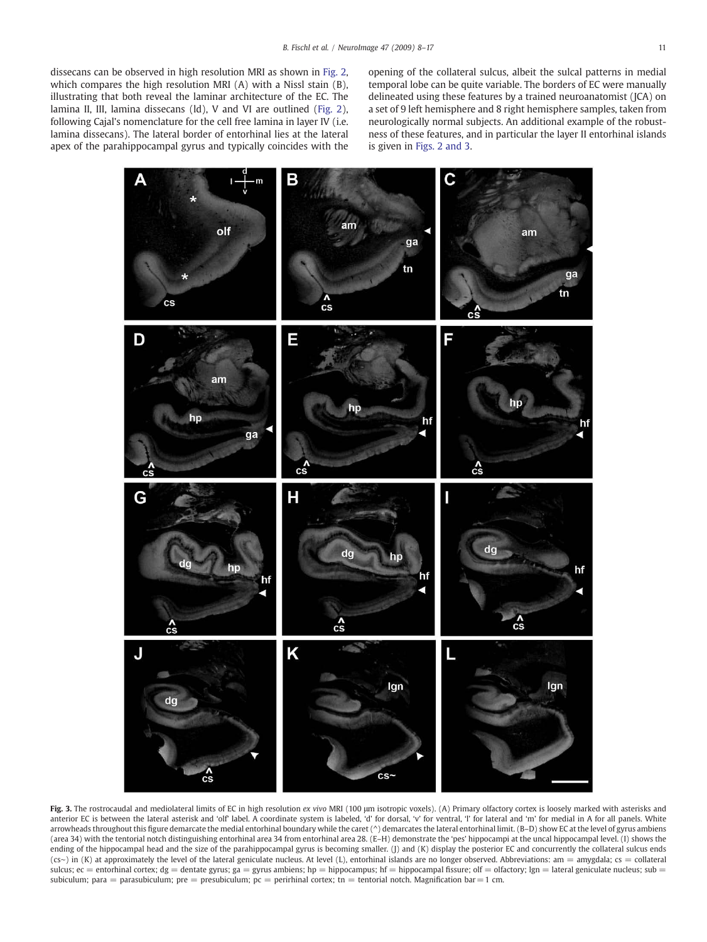<span id="page-3-0"></span>dissecans can be observed in high resolution MRI as shown in [Fig. 2,](#page-2-0) which compares the high resolution MRI (A) with a Nissl stain (B), illustrating that both reveal the laminar architecture of the EC. The lamina II, III, lamina dissecans (ld), V and VI are outlined ([Fig. 2](#page-2-0)), following Cajal's nomenclature for the cell free lamina in layer IV (i.e. lamina dissecans). The lateral border of entorhinal lies at the lateral apex of the parahippocampal gyrus and typically coincides with the

opening of the collateral sulcus, albeit the sulcal patterns in medial temporal lobe can be quite variable. The borders of EC were manually delineated using these features by a trained neuroanatomist (JCA) on a set of 9 left hemisphere and 8 right hemisphere samples, taken from neurologically normal subjects. An additional example of the robustness of these features, and in particular the layer II entorhinal islands is given in [Figs. 2 and 3](#page-2-0).



Fig. 3. The rostrocaudal and mediolateral limits of EC in high resolution ex vivo MRI (100 µm isotropic voxels). (A) Primary olfactory cortex is loosely marked with asterisks and anterior EC is between the lateral asterisk and 'olf' label. A coordinate system is labeled, 'd' for dorsal, 'v' for ventral, 'l' for lateral and 'm' for medial in A for all panels. White arrowheads throughout this figure demarcate the medial entorhinal boundary while the caret ( $\land$ ) demarcates the lateral entorhinal limit. (B-D) show EC at the level of gyrus ambiens (area 34) with the tentorial notch distinguishing entorhinal area 34 from entorhinal area 28. (E–H) demonstrate the 'pes' hippocampi at the uncal hippocampal level. (I) shows the ending of the hippocampal head and the size of the parahippocampal gyrus is becoming smaller. (J) and (K) display the posterior EC and concurrently the collateral sulcus ends (cs∼) in (K) at approximately the level of the lateral geniculate nucleus. At level (L), entorhinal islands are no longer observed. Abbreviations: am = amygdala; cs = collateral sulcus; ec = entorhinal cortex; dg = dentate gyrus; ga = gyrus ambiens; hp = hippocampus; hf = hippocampal fissure; olf = olfactory; lgn = lateral geniculate nucleus; sub = subiculum; para = parasubiculum; pre = presubiculum; pc = perirhinal cortex; tn = tentorial notch. Magnification bar = 1 cm.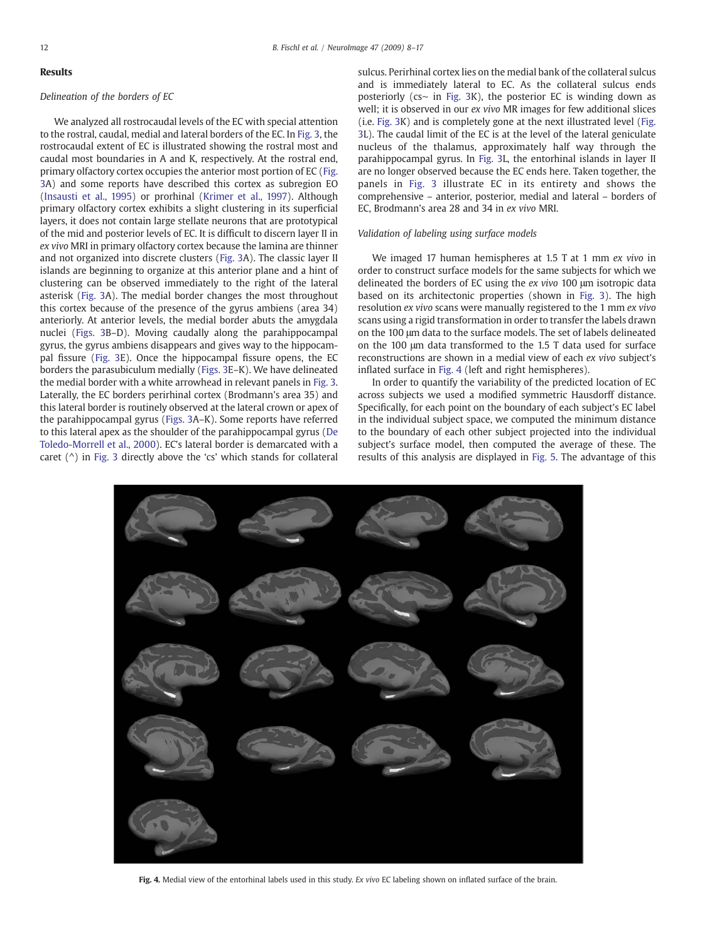# <span id="page-4-0"></span>Results

# Delineation of the borders of EC

We analyzed all rostrocaudal levels of the EC with special attention to the rostral, caudal, medial and lateral borders of the EC. In [Fig. 3](#page-3-0), the rostrocaudal extent of EC is illustrated showing the rostral most and caudal most boundaries in A and K, respectively. At the rostral end, primary olfactory cortex occupies the anterior most portion of EC [\(Fig.](#page-3-0) [3](#page-3-0)A) and some reports have described this cortex as subregion EO [\(Insausti et al., 1995](#page-8-0)) or prorhinal [\(Krimer et al., 1997](#page-8-0)). Although primary olfactory cortex exhibits a slight clustering in its superficial layers, it does not contain large stellate neurons that are prototypical of the mid and posterior levels of EC. It is difficult to discern layer II in ex vivo MRI in primary olfactory cortex because the lamina are thinner and not organized into discrete clusters [\(Fig. 3A](#page-3-0)). The classic layer II islands are beginning to organize at this anterior plane and a hint of clustering can be observed immediately to the right of the lateral asterisk [\(Fig. 3A](#page-3-0)). The medial border changes the most throughout this cortex because of the presence of the gyrus ambiens (area 34) anteriorly. At anterior levels, the medial border abuts the amygdala nuclei ([Figs. 3B](#page-3-0)–D). Moving caudally along the parahippocampal gyrus, the gyrus ambiens disappears and gives way to the hippocampal fissure [\(Fig. 3](#page-3-0)E). Once the hippocampal fissure opens, the EC borders the parasubiculum medially ([Figs. 3](#page-3-0)E–K). We have delineated the medial border with a white arrowhead in relevant panels in [Fig. 3.](#page-3-0) Laterally, the EC borders perirhinal cortex (Brodmann's area 35) and this lateral border is routinely observed at the lateral crown or apex of the parahippocampal gyrus ([Figs. 3](#page-3-0)A–K). Some reports have referred to this lateral apex as the shoulder of the parahippocampal gyrus ([De](#page-8-0) [Toledo-Morrell et al., 2000](#page-8-0)). EC's lateral border is demarcated with a caret  $(^{\wedge})$  in [Fig. 3](#page-3-0) directly above the 'cs' which stands for collateral

sulcus. Perirhinal cortex lies on the medial bank of the collateral sulcus and is immediately lateral to EC. As the collateral sulcus ends posteriorly (cs∼ in [Fig. 3K](#page-3-0)), the posterior EC is winding down as well; it is observed in our ex vivo MR images for few additional slices (i.e. [Fig. 3](#page-3-0)K) and is completely gone at the next illustrated level [\(Fig.](#page-3-0) [3](#page-3-0)L). The caudal limit of the EC is at the level of the lateral geniculate nucleus of the thalamus, approximately half way through the parahippocampal gyrus. In [Fig. 3L](#page-3-0), the entorhinal islands in layer II are no longer observed because the EC ends here. Taken together, the panels in [Fig. 3](#page-3-0) illustrate EC in its entirety and shows the comprehensive – anterior, posterior, medial and lateral – borders of EC, Brodmann's area 28 and 34 in ex vivo MRI.

# Validation of labeling using surface models

We imaged 17 human hemispheres at 1.5 T at 1 mm ex vivo in order to construct surface models for the same subjects for which we delineated the borders of EC using the ex vivo 100 μm isotropic data based on its architectonic properties (shown in [Fig. 3\)](#page-3-0). The high resolution ex vivo scans were manually registered to the 1 mm ex vivo scans using a rigid transformation in order to transfer the labels drawn on the 100 μm data to the surface models. The set of labels delineated on the 100 μm data transformed to the 1.5 T data used for surface reconstructions are shown in a medial view of each ex vivo subject's inflated surface in Fig. 4 (left and right hemispheres).

In order to quantify the variability of the predicted location of EC across subjects we used a modified symmetric Hausdorff distance. Specifically, for each point on the boundary of each subject's EC label in the individual subject space, we computed the minimum distance to the boundary of each other subject projected into the individual subject's surface model, then computed the average of these. The results of this analysis are displayed in [Fig. 5](#page-5-0). The advantage of this



Fig. 4. Medial view of the entorhinal labels used in this study. Ex vivo EC labeling shown on inflated surface of the brain.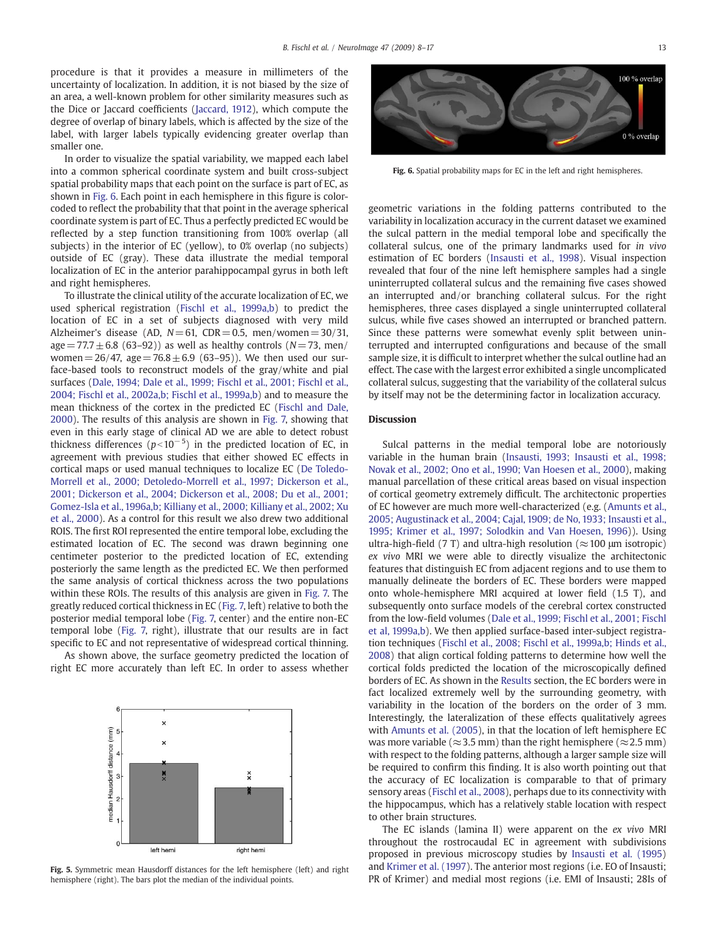<span id="page-5-0"></span>procedure is that it provides a measure in millimeters of the uncertainty of localization. In addition, it is not biased by the size of an area, a well-known problem for other similarity measures such as the Dice or Jaccard coefficients ([Jaccard, 1912](#page-8-0)), which compute the degree of overlap of binary labels, which is affected by the size of the label, with larger labels typically evidencing greater overlap than smaller one.

In order to visualize the spatial variability, we mapped each label into a common spherical coordinate system and built cross-subject spatial probability maps that each point on the surface is part of EC, as shown in Fig. 6. Each point in each hemisphere in this figure is colorcoded to reflect the probability that that point in the average spherical coordinate system is part of EC. Thus a perfectly predicted EC would be reflected by a step function transitioning from 100% overlap (all subjects) in the interior of EC (yellow), to 0% overlap (no subjects) outside of EC (gray). These data illustrate the medial temporal localization of EC in the anterior parahippocampal gyrus in both left and right hemispheres.

To illustrate the clinical utility of the accurate localization of EC, we used spherical registration ([Fischl et al., 1999a,b](#page-8-0)) to predict the location of EC in a set of subjects diagnosed with very mild Alzheimer's disease (AD,  $N= 61$ , CDR = 0.5, men/women = 30/31,  $age = 77.7 \pm 6.8$  (63–92)) as well as healthy controls (N=73, men/ women =  $26/47$ , age =  $76.8 \pm 6.9$  (63-95)). We then used our surface-based tools to reconstruct models of the gray/white and pial surfaces ([Dale, 1994; Dale et al., 1999; Fischl et al., 2001; Fischl et al.,](#page-7-0) [2004; Fischl et al., 2002a,b; Fischl et al., 1999a,b](#page-7-0)) and to measure the mean thickness of the cortex in the predicted EC ([Fischl and Dale,](#page-8-0) [2000](#page-8-0)). The results of this analysis are shown in [Fig. 7,](#page-6-0) showing that even in this early stage of clinical AD we are able to detect robust thickness differences ( $p<10^{-5}$ ) in the predicted location of EC, in agreement with previous studies that either showed EC effects in cortical maps or used manual techniques to localize EC ([De Toledo-](#page-8-0)[Morrell et al., 2000; Detoledo-Morrell et al., 1997; Dickerson et al.,](#page-8-0) [2001; Dickerson et al., 2004; Dickerson et al., 2008; Du et al., 2001;](#page-8-0) [Gomez-Isla et al., 1996a,b; Killiany et al., 2000; Killiany et al., 2002; Xu](#page-8-0) [et al., 2000](#page-8-0)). As a control for this result we also drew two additional ROIS. The first ROI represented the entire temporal lobe, excluding the estimated location of EC. The second was drawn beginning one centimeter posterior to the predicted location of EC, extending posteriorly the same length as the predicted EC. We then performed the same analysis of cortical thickness across the two populations within these ROIs. The results of this analysis are given in [Fig. 7.](#page-6-0) The greatly reduced cortical thickness in EC [\(Fig. 7,](#page-6-0) left) relative to both the posterior medial temporal lobe ([Fig. 7,](#page-6-0) center) and the entire non-EC temporal lobe [\(Fig. 7,](#page-6-0) right), illustrate that our results are in fact specific to EC and not representative of widespread cortical thinning.

As shown above, the surface geometry predicted the location of right EC more accurately than left EC. In order to assess whether



Fig. 5. Symmetric mean Hausdorff distances for the left hemisphere (left) and right hemisphere (right). The bars plot the median of the individual points.



Fig. 6. Spatial probability maps for EC in the left and right hemispheres.

geometric variations in the folding patterns contributed to the variability in localization accuracy in the current dataset we examined the sulcal pattern in the medial temporal lobe and specifically the collateral sulcus, one of the primary landmarks used for in vivo estimation of EC borders [\(Insausti et al., 1998](#page-8-0)). Visual inspection revealed that four of the nine left hemisphere samples had a single uninterrupted collateral sulcus and the remaining five cases showed an interrupted and/or branching collateral sulcus. For the right hemispheres, three cases displayed a single uninterrupted collateral sulcus, while five cases showed an interrupted or branched pattern. Since these patterns were somewhat evenly split between uninterrupted and interrupted configurations and because of the small sample size, it is difficult to interpret whether the sulcal outline had an effect. The case with the largest error exhibited a single uncomplicated collateral sulcus, suggesting that the variability of the collateral sulcus by itself may not be the determining factor in localization accuracy.

# **Discussion**

Sulcal patterns in the medial temporal lobe are notoriously variable in the human brain ([Insausti, 1993; Insausti et al., 1998;](#page-8-0) [Novak et al., 2002; Ono et al., 1990; Van Hoesen et al., 2000\)](#page-8-0), making manual parcellation of these critical areas based on visual inspection of cortical geometry extremely difficult. The architectonic properties of EC however are much more well-characterized (e.g. [\(Amunts et al.,](#page-7-0) [2005; Augustinack et al., 2004; Cajal, 1909; de No, 1933; Insausti et al.,](#page-7-0) [1995; Krimer et al., 1997; Solodkin and Van Hoesen, 1996\)](#page-7-0)). Using ultra-high-field (7 T) and ultra-high resolution ( $\approx$  100 μm isotropic) ex vivo MRI we were able to directly visualize the architectonic features that distinguish EC from adjacent regions and to use them to manually delineate the borders of EC. These borders were mapped onto whole-hemisphere MRI acquired at lower field (1.5 T), and subsequently onto surface models of the cerebral cortex constructed from the low-field volumes [\(Dale et al., 1999; Fischl et al., 2001; Fischl](#page-7-0) [et al, 1999a,b](#page-7-0)). We then applied surface-based inter-subject registration techniques ([Fischl et al., 2008; Fischl et al., 1999a,b; Hinds et al.,](#page-8-0) [2008\)](#page-8-0) that align cortical folding patterns to determine how well the cortical folds predicted the location of the microscopically defined borders of EC. As shown in the [Results](#page-4-0) section, the EC borders were in fact localized extremely well by the surrounding geometry, with variability in the location of the borders on the order of 3 mm. Interestingly, the lateralization of these effects qualitatively agrees with [Amunts et al. \(2005\)](#page-7-0), in that the location of left hemisphere EC was more variable ( $\approx$ 3.5 mm) than the right hemisphere ( $\approx$ 2.5 mm) with respect to the folding patterns, although a larger sample size will be required to confirm this finding. It is also worth pointing out that the accuracy of EC localization is comparable to that of primary sensory areas [\(Fischl et al., 2008\)](#page-8-0), perhaps due to its connectivity with the hippocampus, which has a relatively stable location with respect to other brain structures.

The EC islands (lamina II) were apparent on the ex vivo MRI throughout the rostrocaudal EC in agreement with subdivisions proposed in previous microscopy studies by [Insausti et al. \(1995](#page-8-0)) and [Krimer et al. \(1997\)](#page-8-0). The anterior most regions (i.e. EO of Insausti; PR of Krimer) and medial most regions (i.e. EMI of Insausti; 28Is of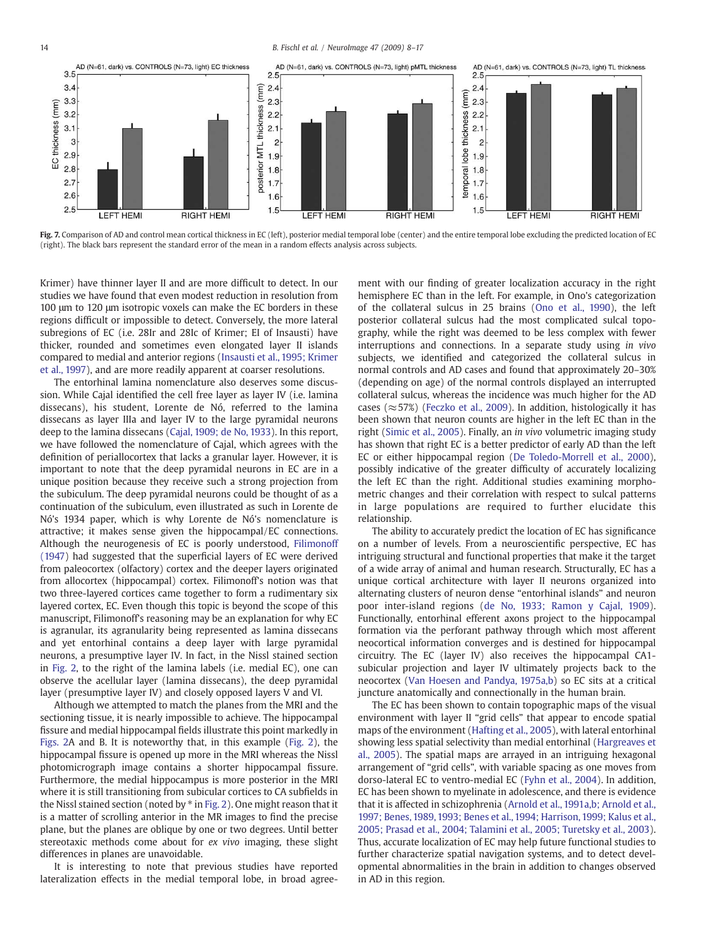<span id="page-6-0"></span>14 B. Fischl et al. / NeuroImage 47 (2009) 8–17



Fig. 7. Comparison of AD and control mean cortical thickness in EC (left), posterior medial temporal lobe (center) and the entire temporal lobe excluding the predicted location of EC (right). The black bars represent the standard error of the mean in a random effects analysis across subjects.

Krimer) have thinner layer II and are more difficult to detect. In our studies we have found that even modest reduction in resolution from 100 μm to 120 μm isotropic voxels can make the EC borders in these regions difficult or impossible to detect. Conversely, the more lateral subregions of EC (i.e. 28Ir and 28Ic of Krimer; EI of Insausti) have thicker, rounded and sometimes even elongated layer II islands compared to medial and anterior regions ([Insausti et al., 1995; Krimer](#page-8-0) [et al., 1997\)](#page-8-0), and are more readily apparent at coarser resolutions.

The entorhinal lamina nomenclature also deserves some discussion. While Cajal identified the cell free layer as layer IV (i.e. lamina dissecans), his student, Lorente de Nó, referred to the lamina dissecans as layer IIIa and layer IV to the large pyramidal neurons deep to the lamina dissecans [\(Cajal, 1909; de No, 1933](#page-7-0)). In this report, we have followed the nomenclature of Cajal, which agrees with the definition of periallocortex that lacks a granular layer. However, it is important to note that the deep pyramidal neurons in EC are in a unique position because they receive such a strong projection from the subiculum. The deep pyramidal neurons could be thought of as a continuation of the subiculum, even illustrated as such in Lorente de Nó's 1934 paper, which is why Lorente de Nó's nomenclature is attractive; it makes sense given the hippocampal/EC connections. Although the neurogenesis of EC is poorly understood, [Filimonoff](#page-8-0) [\(1947\)](#page-8-0) had suggested that the superficial layers of EC were derived from paleocortex (olfactory) cortex and the deeper layers originated from allocortex (hippocampal) cortex. Filimonoff's notion was that two three-layered cortices came together to form a rudimentary six layered cortex, EC. Even though this topic is beyond the scope of this manuscript, Filimonoff's reasoning may be an explanation for why EC is agranular, its agranularity being represented as lamina dissecans and yet entorhinal contains a deep layer with large pyramidal neurons, a presumptive layer IV. In fact, in the Nissl stained section in [Fig. 2](#page-2-0), to the right of the lamina labels (i.e. medial EC), one can observe the acellular layer (lamina dissecans), the deep pyramidal layer (presumptive layer IV) and closely opposed layers V and VI.

Although we attempted to match the planes from the MRI and the sectioning tissue, it is nearly impossible to achieve. The hippocampal fissure and medial hippocampal fields illustrate this point markedly in [Figs. 2A](#page-2-0) and B. It is noteworthy that, in this example ([Fig. 2](#page-2-0)), the hippocampal fissure is opened up more in the MRI whereas the Nissl photomicrograph image contains a shorter hippocampal fissure. Furthermore, the medial hippocampus is more posterior in the MRI where it is still transitioning from subicular cortices to CA subfields in the Nissl stained section (noted by  $*$  in [Fig. 2](#page-2-0)). One might reason that it is a matter of scrolling anterior in the MR images to find the precise plane, but the planes are oblique by one or two degrees. Until better stereotaxic methods come about for ex vivo imaging, these slight differences in planes are unavoidable.

It is interesting to note that previous studies have reported lateralization effects in the medial temporal lobe, in broad agreement with our finding of greater localization accuracy in the right hemisphere EC than in the left. For example, in Ono's categorization of the collateral sulcus in 25 brains [\(Ono et al., 1990](#page-8-0)), the left posterior collateral sulcus had the most complicated sulcal topography, while the right was deemed to be less complex with fewer interruptions and connections. In a separate study using in vivo subjects, we identified and categorized the collateral sulcus in normal controls and AD cases and found that approximately 20–30% (depending on age) of the normal controls displayed an interrupted collateral sulcus, whereas the incidence was much higher for the AD cases ( $\approx$  57%) [\(Feczko et al., 2009\)](#page-8-0). In addition, histologically it has been shown that neuron counts are higher in the left EC than in the right [\(Simic et al., 2005](#page-9-0)). Finally, an in vivo volumetric imaging study has shown that right EC is a better predictor of early AD than the left EC or either hippocampal region ([De Toledo-Morrell et al., 2000](#page-8-0)), possibly indicative of the greater difficulty of accurately localizing the left EC than the right. Additional studies examining morphometric changes and their correlation with respect to sulcal patterns in large populations are required to further elucidate this relationship.

The ability to accurately predict the location of EC has significance on a number of levels. From a neuroscientific perspective, EC has intriguing structural and functional properties that make it the target of a wide array of animal and human research. Structurally, EC has a unique cortical architecture with layer II neurons organized into alternating clusters of neuron dense "entorhinal islands" and neuron poor inter-island regions ([de No, 1933; Ramon y Cajal, 1909](#page-7-0)). Functionally, entorhinal efferent axons project to the hippocampal formation via the perforant pathway through which most afferent neocortical information converges and is destined for hippocampal circuitry. The EC (layer IV) also receives the hippocampal CA1 subicular projection and layer IV ultimately projects back to the neocortex [\(Van Hoesen and Pandya, 1975a,b](#page-9-0)) so EC sits at a critical juncture anatomically and connectionally in the human brain.

The EC has been shown to contain topographic maps of the visual environment with layer II "grid cells" that appear to encode spatial maps of the environment ([Hafting et al., 2005](#page-8-0)), with lateral entorhinal showing less spatial selectivity than medial entorhinal [\(Hargreaves et](#page-8-0) [al., 2005](#page-8-0)). The spatial maps are arrayed in an intriguing hexagonal arrangement of "grid cells", with variable spacing as one moves from dorso-lateral EC to ventro-medial EC ([Fyhn et al., 2004](#page-8-0)). In addition, EC has been shown to myelinate in adolescence, and there is evidence that it is affected in schizophrenia [\(Arnold et al., 1991a,b; Arnold et al.,](#page-7-0) [1997; Benes, 1989, 1993; Benes et al., 1994; Harrison, 1999; Kalus et al.,](#page-7-0) [2005; Prasad et al., 2004; Talamini et al., 2005; Turetsky et al., 2003](#page-7-0)). Thus, accurate localization of EC may help future functional studies to further characterize spatial navigation systems, and to detect developmental abnormalities in the brain in addition to changes observed in AD in this region.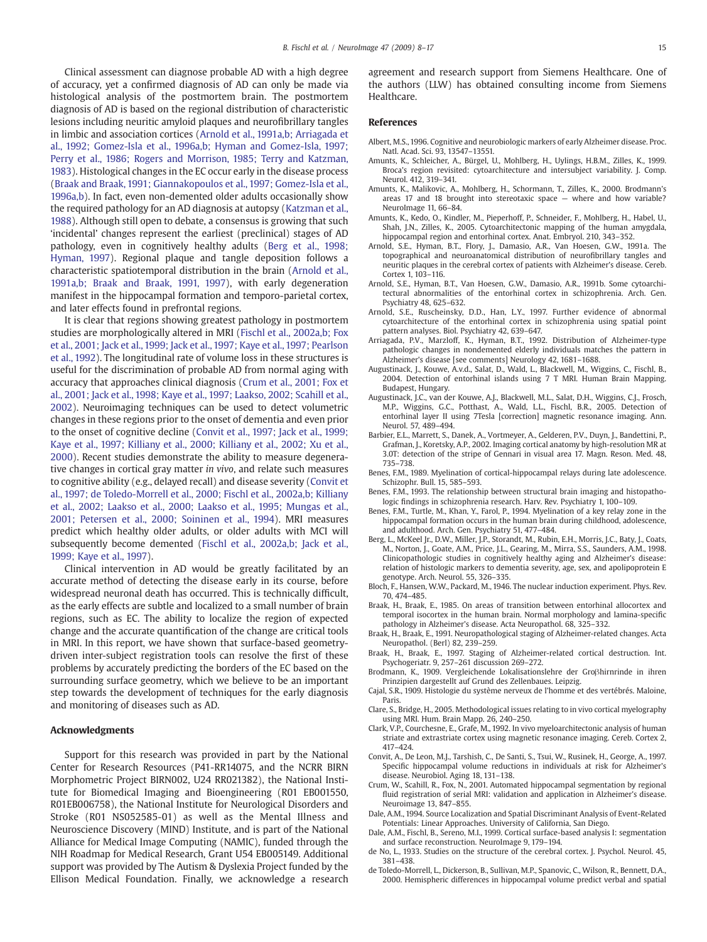<span id="page-7-0"></span>Clinical assessment can diagnose probable AD with a high degree of accuracy, yet a confirmed diagnosis of AD can only be made via histological analysis of the postmortem brain. The postmortem diagnosis of AD is based on the regional distribution of characteristic lesions including neuritic amyloid plaques and neurofibrillary tangles in limbic and association cortices (Arnold et al., 1991a,b; Arriagada et al., 1992; Gomez-Isla et al., 1996a,b; Hyman and Gomez-Isla, 1997; Perry et al., 1986; Rogers and Morrison, 1985; Terry and Katzman, 1983). Histological changes in the EC occur early in the disease process (Braak and Braak, 1991; Giannakopoulos et al., 1997; Gomez-Isla et al., 1996a,b). In fact, even non-demented older adults occasionally show the required pathology for an AD diagnosis at autopsy ([Katzman et al.,](#page-8-0) [1988](#page-8-0)). Although still open to debate, a consensus is growing that such 'incidental' changes represent the earliest (preclinical) stages of AD pathology, even in cognitively healthy adults (Berg et al., 1998; Hyman, 1997). Regional plaque and tangle deposition follows a characteristic spatiotemporal distribution in the brain (Arnold et al., 1991a,b; Braak and Braak, 1991, 1997), with early degeneration manifest in the hippocampal formation and temporo-parietal cortex, and later effects found in prefrontal regions.

It is clear that regions showing greatest pathology in postmortem studies are morphologically altered in MRI ([Fischl et al., 2002a,b; Fox](#page-8-0) [et al., 2001; Jack et al., 1999; Jack et al., 1997; Kaye et al., 1997; Pearlson](#page-8-0) [et al., 1992\)](#page-8-0). The longitudinal rate of volume loss in these structures is useful for the discrimination of probable AD from normal aging with accuracy that approaches clinical diagnosis (Crum et al., 2001; Fox et al., 2001; Jack et al., 1998; Kaye et al., 1997; Laakso, 2002; Scahill et al., 2002). Neuroimaging techniques can be used to detect volumetric changes in these regions prior to the onset of dementia and even prior to the onset of cognitive decline (Convit et al., 1997; Jack et al., 1999; Kaye et al., 1997; Killiany et al., 2000; Killiany et al., 2002; Xu et al., 2000). Recent studies demonstrate the ability to measure degenerative changes in cortical gray matter in vivo, and relate such measures to cognitive ability (e.g., delayed recall) and disease severity (Convit et al., 1997; de Toledo-Morrell et al., 2000; Fischl et al., 2002a,b; Killiany et al., 2002; Laakso et al., 2000; Laakso et al., 1995; Mungas et al., 2001; Petersen et al., 2000; Soininen et al., 1994). MRI measures predict which healthy older adults, or older adults with MCI will subsequently become demented [\(Fischl et al., 2002a,b; Jack et al.,](#page-8-0) [1999; Kaye et al., 1997\)](#page-8-0).

Clinical intervention in AD would be greatly facilitated by an accurate method of detecting the disease early in its course, before widespread neuronal death has occurred. This is technically difficult, as the early effects are subtle and localized to a small number of brain regions, such as EC. The ability to localize the region of expected change and the accurate quantification of the change are critical tools in MRI. In this report, we have shown that surface-based geometrydriven inter-subject registration tools can resolve the first of these problems by accurately predicting the borders of the EC based on the surrounding surface geometry, which we believe to be an important step towards the development of techniques for the early diagnosis and monitoring of diseases such as AD.

#### Acknowledgments

Support for this research was provided in part by the National Center for Research Resources (P41-RR14075, and the NCRR BIRN Morphometric Project BIRN002, U24 RR021382), the National Institute for Biomedical Imaging and Bioengineering (R01 EB001550, R01EB006758), the National Institute for Neurological Disorders and Stroke (R01 NS052585-01) as well as the Mental Illness and Neuroscience Discovery (MIND) Institute, and is part of the National Alliance for Medical Image Computing (NAMIC), funded through the NIH Roadmap for Medical Research, Grant U54 EB005149. Additional support was provided by The Autism & Dyslexia Project funded by the Ellison Medical Foundation. Finally, we acknowledge a research agreement and research support from Siemens Healthcare. One of the authors (LLW) has obtained consulting income from Siemens **Healthcare** 

### References

- Albert, M.S., 1996. Cognitive and neurobiologic markers of early Alzheimer disease. Proc. Natl. Acad. Sci. 93, 13547–13551.
- Amunts, K., Schleicher, A., Bürgel, U., Mohlberg, H., Uylings, H.B.M., Zilles, K., 1999. Broca's region revisited: cytoarchitecture and intersubject variability. J. Comp. Neurol. 412, 319–341.
- Amunts, K., Malikovic, A., Mohlberg, H., Schormann, T., Zilles, K., 2000. Brodmann's areas 17 and 18 brought into stereotaxic space — where and how variable? NeuroImage 11, 66–84.
- Amunts, K., Kedo, O., Kindler, M., Pieperhoff, P., Schneider, F., Mohlberg, H., Habel, U., Shah, J.N., Zilles, K., 2005. Cytoarchitectonic mapping of the human amygdala, hippocampal region and entorhinal cortex. Anat. Embryol. 210, 343–352.
- Arnold, S.E., Hyman, B.T., Flory, J., Damasio, A.R., Van Hoesen, G.W., 1991a. The topographical and neuroanatomical distribution of neurofibrillary tangles and neuritic plaques in the cerebral cortex of patients with Alzheimer's disease. Cereb. Cortex 1, 103–116.
- Arnold, S.E., Hyman, B.T., Van Hoesen, G.W., Damasio, A.R., 1991b. Some cytoarchitectural abnormalities of the entorhinal cortex in schizophrenia. Arch. Gen. Psychiatry 48, 625–632.
- Arnold, S.E., Ruscheinsky, D.D., Han, L.Y., 1997. Further evidence of abnormal cytoarchitecture of the entorhinal cortex in schizophrenia using spatial point pattern analyses. Biol. Psychiatry 42, 639–647.
- Arriagada, P.V., Marzloff, K., Hyman, B.T., 1992. Distribution of Alzheimer-type pathologic changes in nondemented elderly individuals matches the pattern in Alzheimer's disease [see comments] Neurology 42, 1681–1688.
- Augustinack, J., Kouwe, A.v.d., Salat, D., Wald, L., Blackwell, M., Wiggins, C., Fischl, B., 2004. Detection of entorhinal islands using 7 T MRI. Human Brain Mapping. Budapest, Hungary.
- Augustinack, J.C., van der Kouwe, A.J., Blackwell, M.L., Salat, D.H., Wiggins, C.J., Frosch, M.P., Wiggins, G.C., Potthast, A., Wald, L.L., Fischl, B.R., 2005. Detection of entorhinal layer II using 7Tesla [correction] magnetic resonance imaging. Ann. Neurol. 57, 489–494.
- Barbier, E.L., Marrett, S., Danek, A., Vortmeyer, A., Gelderen, P.V., Duyn, J., Bandettini, P., Grafman, J., Koretsky, A.P., 2002. Imaging cortical anatomy by high-resolution MR at 3.0T: detection of the stripe of Gennari in visual area 17. Magn. Reson. Med. 48, 735–738.
- Benes, F.M., 1989. Myelination of cortical-hippocampal relays during late adolescence. Schizophr. Bull. 15, 585–593.
- Benes, F.M., 1993. The relationship between structural brain imaging and histopathologic findings in schizophrenia research. Harv. Rev. Psychiatry 1, 100–109.
- Benes, F.M., Turtle, M., Khan, Y., Farol, P., 1994. Myelination of a key relay zone in the hippocampal formation occurs in the human brain during childhood, adolescence, and adulthood. Arch. Gen. Psychiatry 51, 477–484.
- Berg, L., McKeel Jr., D.W., Miller, J.P., Storandt, M., Rubin, E.H., Morris, J.C., Baty, J., Coats, M., Norton, J., Goate, A.M., Price, J.L., Gearing, M., Mirra, S.S., Saunders, A.M., 1998. Clinicopathologic studies in cognitively healthy aging and Alzheimer's disease: relation of histologic markers to dementia severity, age, sex, and apolipoprotein E genotype. Arch. Neurol. 55, 326–335.
- Bloch, F., Hansen, W.W., Packard, M., 1946. The nuclear induction experiment. Phys. Rev. 70, 474–485.
- Braak, H., Braak, E., 1985. On areas of transition between entorhinal allocortex and temporal isocortex in the human brain. Normal morphology and lamina-specific pathology in Alzheimer's disease. Acta Neuropathol. 68, 325–332.
- Braak, H., Braak, E., 1991. Neuropathological staging of Alzheimer-related changes. Acta Neuropathol. (Berl) 82, 239–259.
- Braak, H., Braak, E., 1997. Staging of Alzheimer-related cortical destruction. Int. Psychogeriatr. 9, 257–261 discussion 269–272.
- Brodmann, K., 1909. Vergleichende Lokalisationslehre der Groβhirnrinde in ihren Prinzipien dargestellt auf Grund des Zellenbaues. Leipzig.
- Cajal, S.R., 1909. Histologie du système nerveux de l'homme et des vertébrés. Maloine, Paris.
- Clare, S., Bridge, H., 2005. Methodological issues relating to in vivo cortical myelography using MRI. Hum. Brain Mapp. 26, 240–250.
- Clark, V.P., Courchesne, E., Grafe, M., 1992. In vivo myeloarchitectonic analysis of human striate and extrastriate cortex using magnetic resonance imaging. Cereb. Cortex 2, 417–424.
- Convit, A., De Leon, M.J., Tarshish, C., De Santi, S., Tsui, W., Rusinek, H., George, A., 1997. Specific hippocampal volume reductions in individuals at risk for Alzheimer's disease. Neurobiol. Aging 18, 131–138.
- Crum, W., Scahill, R., Fox, N., 2001. Automated hippocampal segmentation by regional fluid registration of serial MRI: validation and application in Alzheimer's disease. Neuroimage 13, 847–855.
- Dale, A.M., 1994. Source Localization and Spatial Discriminant Analysis of Event-Related Potentials: Linear Approaches. University of California, San Diego.
- Dale, A.M., Fischl, B., Sereno, M.I., 1999. Cortical surface-based analysis I: segmentation and surface reconstruction. NeuroImage 9, 179–194.
- de No, L., 1933. Studies on the structure of the cerebral cortex. J. Psychol. Neurol. 45, 381–438.
- de Toledo-Morrell, L., Dickerson, B., Sullivan, M.P., Spanovic, C., Wilson, R., Bennett, D.A., 2000. Hemispheric differences in hippocampal volume predict verbal and spatial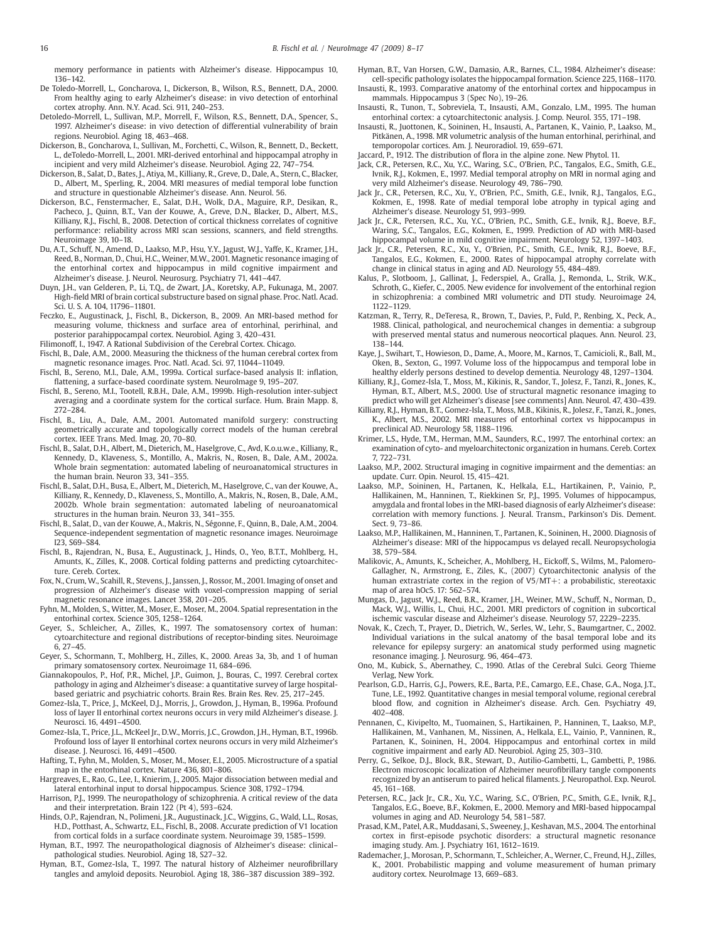<span id="page-8-0"></span>memory performance in patients with Alzheimer's disease. Hippocampus 10, 136–142.

- De Toledo-Morrell, L., Goncharova, I., Dickerson, B., Wilson, R.S., Bennett, D.A., 2000. From healthy aging to early Alzheimer's disease: in vivo detection of entorhinal cortex atrophy. Ann. N.Y. Acad. Sci. 911, 240–253.
- Detoledo-Morrell, L., Sullivan, M.P., Morrell, F., Wilson, R.S., Bennett, D.A., Spencer, S., 1997. Alzheimer's disease: in vivo detection of differential vulnerability of brain regions. Neurobiol. Aging 18, 463–468.
- Dickerson, B., Goncharova, I., Sullivan, M., Forchetti, C., Wilson, R., Bennett, D., Beckett, L., deToledo-Morrell, L., 2001. MRI-derived entorhinal and hippocampal atrophy in incipient and very mild Alzheimer's disease. Neurobiol. Aging 22, 747–754.
- Dickerson, B., Salat, D., Bates, J., Atiya, M., Killiany, R., Greve, D., Dale, A., Stern, C., Blacker, D., Albert, M., Sperling, R., 2004. MRI measures of medial temporal lobe function and structure in questionable Alzheimer's disease. Ann. Neurol. 56.
- Dickerson, B.C., Fenstermacher, E., Salat, D.H., Wolk, D.A., Maguire, R.P., Desikan, R., Pacheco, J., Quinn, B.T., Van der Kouwe, A., Greve, D.N., Blacker, D., Albert, M.S., Killiany, R.J., Fischl, B., 2008. Detection of cortical thickness correlates of cognitive performance: reliability across MRI scan sessions, scanners, and field strengths. Neuroimage 39, 10–18.
- Du, A.T., Schuff, N., Amend, D., Laakso, M.P., Hsu, Y.Y., Jagust, W.J., Yaffe, K., Kramer, J.H., Reed, B., Norman, D., Chui, H.C., Weiner, M.W., 2001. Magnetic resonance imaging of the entorhinal cortex and hippocampus in mild cognitive impairment and Alzheimer's disease. J. Neurol. Neurosurg. Psychiatry 71, 441–447.
- Duyn, J.H., van Gelderen, P., Li, T.Q., de Zwart, J.A., Koretsky, A.P., Fukunaga, M., 2007. High-field MRI of brain cortical substructure based on signal phase. Proc. Natl. Acad. Sci. U. S. A. 104, 11796–11801.
- Feczko, E., Augustinack, J., Fischl, B., Dickerson, B., 2009. An MRI-based method for measuring volume, thickness and surface area of entorhinal, perirhinal, and posterior parahippocampal cortex. Neurobiol. Aging 3, 420–431.
- Filimonoff, I., 1947. A Rational Subdivision of the Cerebral Cortex. Chicago.
- Fischl, B., Dale, A.M., 2000. Measuring the thickness of the human cerebral cortex from magnetic resonance images. Proc. Natl. Acad. Sci. 97, 11044–11049.
- Fischl, B., Sereno, M.I., Dale, A.M., 1999a. Cortical surface-based analysis II: inflation, flattening, a surface-based coordinate system. NeuroImage 9, 195–207.
- Fischl, B., Sereno, M.I., Tootell, R.B.H., Dale, A.M., 1999b. High-resolution inter-subject averaging and a coordinate system for the cortical surface. Hum. Brain Mapp. 8, 272–284.
- Fischl, B., Liu, A., Dale, A.M., 2001. Automated manifold surgery: constructing geometrically accurate and topologically correct models of the human cerebral cortex. IEEE Trans. Med. Imag. 20, 70–80.
- Fischl, B., Salat, D.H., Albert, M., Dieterich, M., Haselgrove, C., Avd, K.o.u.w.e., Killiany, R., Kennedy, D., Klaveness, S., Montillo, A., Makris, N., Rosen, B., Dale, A.M., 2002a. Whole brain segmentation: automated labeling of neuroanatomical structures in the human brain. Neuron 33, 341–355.
- Fischl, B., Salat, D.H., Busa, E., Albert, M., Dieterich, M., Haselgrove, C., van der Kouwe, A., Killiany, R., Kennedy, D., Klaveness, S., Montillo, A., Makris, N., Rosen, B., Dale, A.M., 2002b. Whole brain segmentation: automated labeling of neuroanatomical structures in the human brain. Neuron 33, 341–355.
- Fischl, B., Salat, D., van der Kouwe, A., Makris, N., Ségonne, F., Quinn, B., Dale, A.M., 2004. Sequence-independent segmentation of magnetic resonance images. Neuroimage I23, S69–S84.
- Fischl, B., Rajendran, N., Busa, E., Augustinack, J., Hinds, O., Yeo, B.T.T., Mohlberg, H., Amunts, K., Zilles, K., 2008. Cortical folding patterns and predicting cytoarchitecture. Cereb. Cortex.
- Fox, N., Crum, W., Scahill, R., Stevens, J., Janssen, J., Rossor, M., 2001. Imaging of onset and progression of Alzheimer's disease with voxel-compression mapping of serial magnetic resonance images. Lancet 358, 201–205.
- Fyhn, M., Molden, S., Witter, M., Moser, E., Moser, M., 2004. Spatial representation in the entorhinal cortex. Science 305, 1258–1264.
- Geyer, S., Schleicher, A., Zilles, K., 1997. The somatosensory cortex of human: cytoarchitecture and regional distributions of receptor-binding sites. Neuroimage 6, 27–45.
- Geyer, S., Schormann, T., Mohlberg, H., Zilles, K., 2000. Areas 3a, 3b, and 1 of human primary somatosensory cortex. Neuroimage 11, 684–696.
- Giannakopoulos, P., Hof, P.R., Michel, J.P., Guimon, J., Bouras, C., 1997. Cerebral cortex pathology in aging and Alzheimer's disease: a quantitative survey of large hospitalbased geriatric and psychiatric cohorts. Brain Res. Brain Res. Rev. 25, 217–245.
- Gomez-Isla, T., Price, J., McKeel, D.J., Morris, J., Growdon, J., Hyman, B., 1996a. Profound loss of layer II entorhinal cortex neurons occurs in very mild Alzheimer's disease. J. Neurosci. 16, 4491–4500.
- Gomez-Isla, T., Price, J.L., McKeel Jr., D.W., Morris, J.C., Growdon, J.H., Hyman, B.T., 1996b. Profound loss of layer II entorhinal cortex neurons occurs in very mild Alzheimer's disease. J. Neurosci. 16, 4491–4500.
- Hafting, T., Fyhn, M., Molden, S., Moser, M., Moser, E.I., 2005. Microstructure of a spatial map in the entorhinal cortex. Nature 436, 801–806.
- Hargreaves, E., Rao, G., Lee, I., Knierim, J., 2005. Major dissociation between medial and lateral entorhinal input to dorsal hippocampus. Science 308, 1792–1794.
- Harrison, P.J., 1999. The neuropathology of schizophrenia. A critical review of the data and their interpretation. Brain 122 (Pt 4), 593–624.
- Hinds, O.P., Rajendran, N., Polimeni, J.R., Augustinack, J.C., Wiggins, G., Wald, L.L., Rosas, H.D., Potthast, A., Schwartz, E.L., Fischl, B., 2008. Accurate prediction of V1 location from cortical folds in a surface coordinate system. Neuroimage 39, 1585–1599.
- Hyman, B.T., 1997. The neuropathological diagnosis of Alzheimer's disease: clinical– pathological studies. Neurobiol. Aging 18, S27–32.
- Hyman, B.T., Gomez-Isla, T., 1997. The natural history of Alzheimer neurofibrillary tangles and amyloid deposits. Neurobiol. Aging 18, 386–387 discussion 389–392.
- Hyman, B.T., Van Horsen, G.W., Damasio, A.R., Barnes, C.L., 1984. Alzheimer's disease: cell-specific pathology isolates the hippocampal formation. Science 225, 1168–1170. Insausti, R., 1993. Comparative anatomy of the entorhinal cortex and hippocampus in
- mammals. Hippocampus 3 (Spec No), 19–26. Insausti, R., Tunon, T., Sobreviela, T., Insausti, A.M., Gonzalo, L.M., 1995. The human
- entorhinal cortex: a cytoarchitectonic analysis. J. Comp. Neurol. 355, 171–198. Insausti, R., Juottonen, K., Soininen, H., Insausti, A., Partanen, K., Vainio, P., Laakso, M.,
- Pitkänen, A., 1998. MR volumetric analysis of the human entorhinal, perirhinal, and temporopolar cortices. Am. J. Neuroradiol. 19, 659–671.
- Jaccard, P., 1912. The distribution of flora in the alpine zone. New Phytol. 11.
- Jack, C.R., Petersen, R.C., Xu, Y.C., Waring, S.C., O'Brien, P.C., Tangalos, E.G., Smith, G.E., Ivnik, R.J., Kokmen, E., 1997. Medial temporal atrophy on MRI in normal aging and very mild Alzheimer's disease. Neurology 49, 786–790.
- Jack Jr., C.R., Petersen, R.C., Xu, Y., O'Brien, P.C., Smith, G.E., Ivnik, R.J., Tangalos, E.G., Kokmen, E., 1998. Rate of medial temporal lobe atrophy in typical aging and Alzheimer's disease. Neurology 51, 993–999.
- Jack Jr., C.R., Petersen, R.C., Xu, Y.C., O'Brien, P.C., Smith, G.E., Ivnik, R.J., Boeve, B.F., Waring, S.C., Tangalos, E.G., Kokmen, E., 1999. Prediction of AD with MRI-based hippocampal volume in mild cognitive impairment. Neurology 52, 1397–1403.
- Jack Jr., C.R., Petersen, R.C., Xu, Y., O'Brien, P.C., Smith, G.E., Ivnik, R.J., Boeve, B.F., Tangalos, E.G., Kokmen, E., 2000. Rates of hippocampal atrophy correlate with change in clinical status in aging and AD. Neurology 55, 484–489.
- Kalus, P., Slotboom, J., Gallinat, J., Federspiel, A., Gralla, J., Remonda, L., Strik, W.K., Schroth, G., Kiefer, C., 2005. New evidence for involvement of the entorhinal region in schizophrenia: a combined MRI volumetric and DTI study. Neuroimage 24, 1122–1129.
- Katzman, R., Terry, R., DeTeresa, R., Brown, T., Davies, P., Fuld, P., Renbing, X., Peck, A., 1988. Clinical, pathological, and neurochemical changes in dementia: a subgroup with preserved mental status and numerous neocortical plaques. Ann. Neurol. 23, 138–144.
- Kaye, J., Swihart, T., Howieson, D., Dame, A., Moore, M., Karnos, T., Camicioli, R., Ball, M., Oken, B., Sexton, G., 1997. Volume loss of the hippocampus and temporal lobe in healthy elderly persons destined to develop dementia. Neurology 48, 1297–1304.
- Killiany, R.J., Gomez-Isla, T., Moss, M., Kikinis, R., Sandor, T., Jolesz, F., Tanzi, R., Jones, K., Hyman, B.T., Albert, M.S., 2000. Use of structural magnetic resonance imaging to
- predict who will get Alzheimer's disease [see comments] Ann. Neurol. 47, 430–439. Killiany, R.J., Hyman, B.T., Gomez-Isla, T., Moss, M.B., Kikinis, R., Jolesz, F., Tanzi, R., Jones,
- K., Albert, M.S., 2002. MRI measures of entorhinal cortex vs hippocampus in preclinical AD. Neurology 58, 1188–1196. Krimer, L.S., Hyde, T.M., Herman, M.M., Saunders, R.C., 1997. The entorhinal cortex: an
- examination of cyto- and myeloarchitectonic organization in humans. Cereb. Cortex 7, 722–731.
- Laakso, M.P., 2002. Structural imaging in cognitive impairment and the dementias: an update. Curr. Opin. Neurol. 15, 415–421.
- Laakso, M.P., Soininen, H., Partanen, K., Helkala, E.L., Hartikainen, P., Vainio, P., Hallikainen, M., Hanninen, T., Riekkinen Sr, P.J., 1995. Volumes of hippocampus, amygdala and frontal lobes in the MRI-based diagnosis of early Alzheimer's disease: correlation with memory functions. J. Neural. Transm., Parkinson's Dis. Dement. Sect. 9, 73–86.
- Laakso, M.P., Hallikainen, M., Hanninen, T., Partanen, K., Soininen, H., 2000. Diagnosis of Alzheimer's disease: MRI of the hippocampus vs delayed recall. Neuropsychologia 38, 579–584.
- Malikovic, A., Amunts, K., Scheicher, A., Mohlberg, H., Eickoff, S., Wilms, M., Palomero-Gallagher, N., Armstrong, E., Ziles, K., (2007) Cytoarchitectonic analysis of the human extrastriate cortex in the region of V5/MT+: a probabilistic, stereotaxic map of area hOc5. 17: 562–574.
- Mungas, D., Jagust, W.J., Reed, B.R., Kramer, J.H., Weiner, M.W., Schuff, N., Norman, D., Mack, W.J., Willis, L., Chui, H.C., 2001. MRI predictors of cognition in subcortical ischemic vascular disease and Alzheimer's disease. Neurology 57, 2229–2235.
- Novak, K., Czech, T., Prayer, D., Dietrich, W., Serles, W., Lehr, S., Baumgartner, C., 2002. Individual variations in the sulcal anatomy of the basal temporal lobe and its relevance for epilepsy surgery: an anatomical study performed using magnetic resonance imaging. J. Neurosurg. 96, 464–473.
- Ono, M., Kubick, S., Abernathey, C., 1990. Atlas of the Cerebral Sulci. Georg Thieme Verlag, New York.
- Pearlson, G.D., Harris, G.J., Powers, R.E., Barta, P.E., Camargo, E.E., Chase, G.A., Noga, J.T., Tune, L.E., 1992. Quantitative changes in mesial temporal volume, regional cerebral blood flow, and cognition in Alzheimer's disease. Arch. Gen. Psychiatry 49, 402–408.
- Pennanen, C., Kivipelto, M., Tuomainen, S., Hartikainen, P., Hanninen, T., Laakso, M.P., Hallikainen, M., Vanhanen, M., Nissinen, A., Helkala, E.L., Vainio, P., Vanninen, R., Partanen, K., Soininen, H., 2004. Hippocampus and entorhinal cortex in mild cognitive impairment and early AD. Neurobiol. Aging 25, 303–310.
- Perry, G., Selkoe, D.J., Block, B.R., Stewart, D., Autilio-Gambetti, L., Gambetti, P., 1986. Electron microscopic localization of Alzheimer neurofibrillary tangle components recognized by an antiserum to paired helical filaments. J. Neuropathol. Exp. Neurol. 45, 161–168.
- Petersen, R.C., Jack Jr., C.R., Xu, Y.C., Waring, S.C., O'Brien, P.C., Smith, G.E., Ivnik, R.J., Tangalos, E.G., Boeve, B.F., Kokmen, E., 2000. Memory and MRI-based hippocampal volumes in aging and AD. Neurology 54, 581–587.
- Prasad, K.M., Patel, A.R., Muddasani, S., Sweeney, J., Keshavan, M.S., 2004. The entorhinal cortex in first-episode psychotic disorders: a structural magnetic resonance imaging study. Am. J. Psychiatry 161, 1612–1619.
- Rademacher, J., Morosan, P., Schormann, T., Schleicher, A., Werner, C., Freund, H.J., Zilles, K., 2001. Probabilistic mapping and volume measurement of human primary auditory cortex. NeuroImage 13, 669–683.